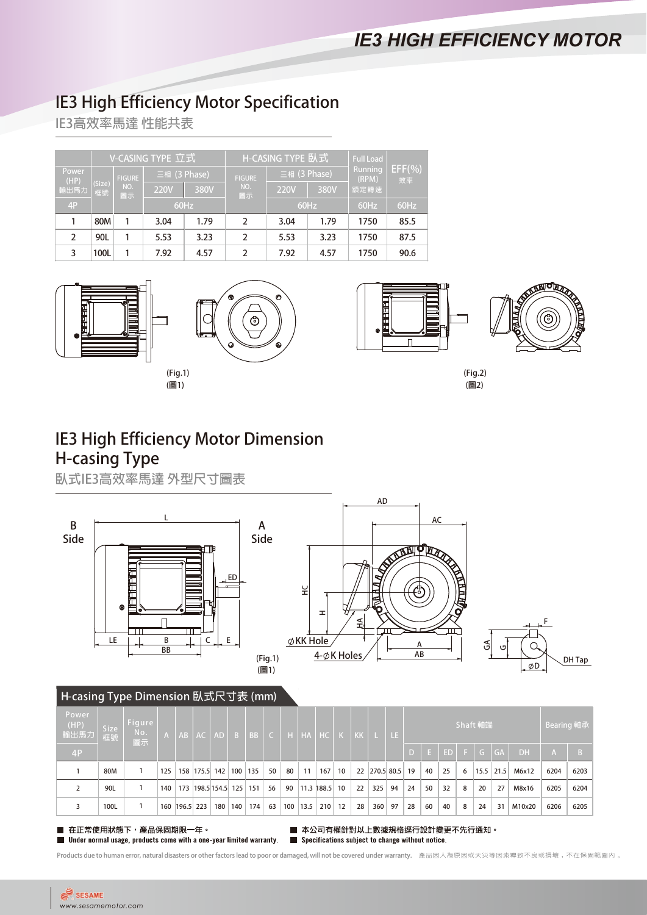# **IE3 High Efficiency Motor Specification**

**IE3高效率馬達 性能共表**

|               |              |               | V-CASING TYPE 立式 |      |                | H-CASING TYPE 臥式            | <b>Full Load</b> |                  |              |  |  |
|---------------|--------------|---------------|------------------|------|----------------|-----------------------------|------------------|------------------|--------------|--|--|
| Power<br>(HP) |              | <b>FIGURE</b> | 三相 (3 Phase)     |      | <b>FIGURE</b>  | $\frac{1}{2}$ = 相 (3 Phase) |                  | Running<br>(RPM) | EFF(%)<br>效率 |  |  |
| 輸出馬力          | (Size)<br>框號 | NO.<br>圖示     | <b>220V</b>      | 380V | NO.<br>圖示      | <b>220V</b>                 | 380V             | 額定轉速             |              |  |  |
| 4P            |              |               |                  | 60Hz |                |                             | 60Hz             | 60Hz             | 60Hz         |  |  |
|               | 80M          |               | 3.04             | 1.79 | $\overline{2}$ | 3.04                        | 1.79             | 1750             | 85.5         |  |  |
| $\mathcal{P}$ | 90L          |               | 5.53             | 3.23 | $\overline{2}$ | 5.53                        | 3.23             | 1750             | 87.5         |  |  |
| 3             | 100L         |               | 7.92             | 4.57 | 2              | 7.92                        | 4.57             | 1750             | 90.6         |  |  |





**(Fig.1)**





**(圖1) (圖2) (Fig.2)**

## **IE3 High Efficiency Motor Dimension H-casing Type**

**臥式IE3高效率馬達 外型尺寸圖表**



#### **H-casing Type Dimension 臥式尺寸表 (mm)**

| Power<br>(HP)<br>輸出馬力 | <b>Size</b><br>框號 | Figure<br>No.<br>高示 |     |               | A   AB   AC   AD    |     | $\overline{B}$ | BB. | $\subset$ |     |      | 'н  нд  нс    | K   KK |    | n Li | N LE Y        | Shaft 軸端 |    |     |   |    |               | Bearing 軸承 |      |      |
|-----------------------|-------------------|---------------------|-----|---------------|---------------------|-----|----------------|-----|-----------|-----|------|---------------|--------|----|------|---------------|----------|----|-----|---|----|---------------|------------|------|------|
| 4P                    |                   |                     |     |               |                     |     |                |     |           |     |      |               |        |    |      |               |          | Æν | ED. | Æ |    | $G$ $G$       | <b>DH</b>  |      |      |
|                       | 80M               |                     | 125 |               | 158 175.5 142 100   |     |                | 135 | 50        | 80  | 11   | 167           | 10     |    |      | 22 270.5 80.5 | 19       | 40 | 25  | 6 |    | $15.5$   21.5 | M6x12      | 6204 | 6203 |
|                       | 90L               |                     | 140 |               | 173 198.5 154.5 125 |     |                | 151 | 56        | 90  |      | 11.3 188.5 10 |        | 22 | 325  | 94            | 24       | 50 | 32  | 8 | 20 | 27            | M8x16      | 6205 | 6204 |
|                       | 100L              |                     | 160 | $ 196.5 $ 223 |                     | 180 | 140            | 174 | 63        | 100 | 13.5 | 210           | 12     | 28 |      | $360$ 97      | 28       | 60 | 40  | 8 | 24 | 31            | M10x20     | 6206 | 6205 |

在正常使用狀態下,產品保固期限一年。 Under normal usage, products come with a one-year limited warranty.

■ 本公司有權針對以上數據規格逕行設計變更不先行通知。  $\blacksquare$  Specifications subject to change without notice.

Products due to human error, natural disasters or other factors lead to poor or damaged, will not be covered under warranty. 產品因人為原因或天災等因素導致不良或損壞,不在保固範圍内。